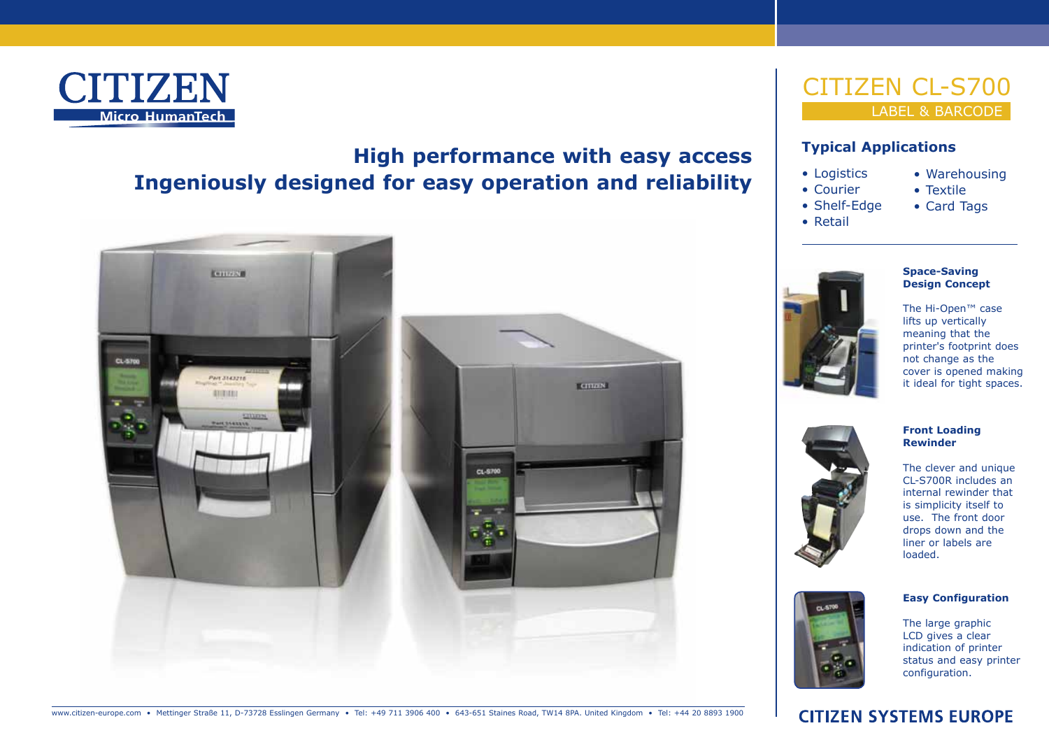

# **High performance with easy access Ingeniously designed for easy operation and reliability**



## **Typical Applications**

- Logistics • Courier
- Textile • Card Tags

• Warehousing

- Shelf-Edge
- • Retail

## **Space-Saving Design Concept**

The Hi-Open™ case lifts up vertically meaning that the printer's footprint does not change as the cover is opened making it ideal for tight spaces.

### **Front Loading Rewinder** The clever and unique CL-S700R includes an





#### The large graphic LCD gives a clear indication of printer status and easy printer configuration.

**Easy Configuration**

www.citizen-europe.com • Mettinger Straße 11, D-73728 Esslingen Germany • Tel: +49 711 3906 400 • 643-651 Staines Road, TW14 8PA. United Kingdom • Tel: +44 20 8893 1900

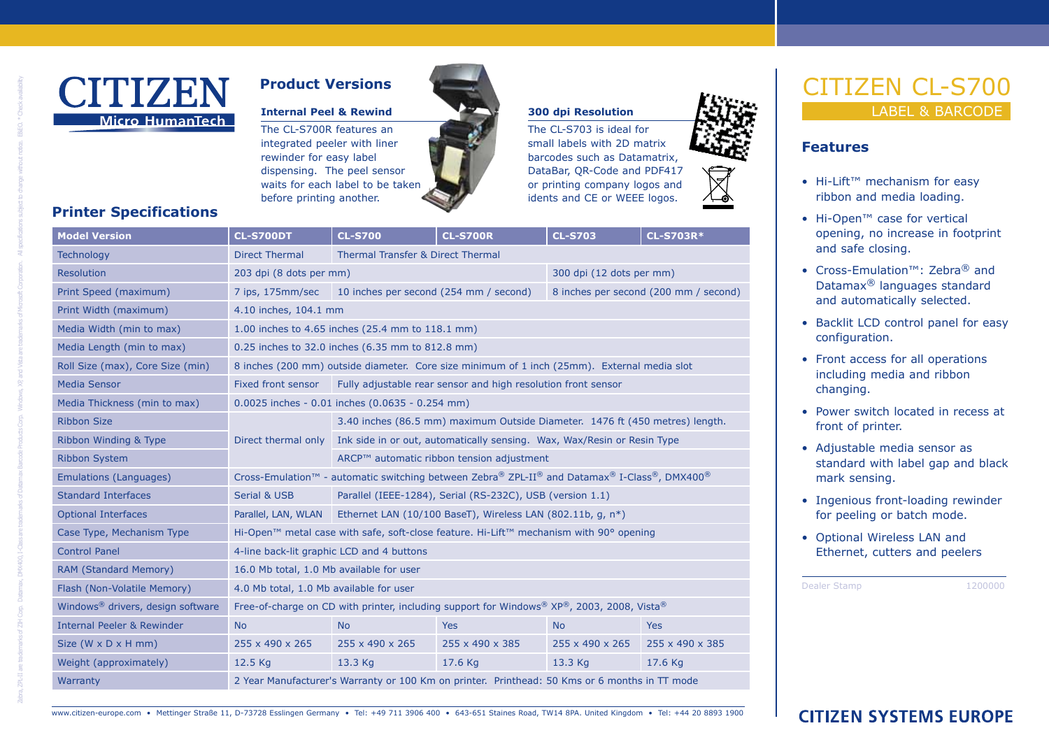

# **Product Versions**

### **Internal Peel & Rewind 300 dpi Resolution**

The CL-S700R features an integrated peeler with liner rewinder for easy label dispensing. The peel sensor waits for each label to be taken before printing another.

The CL‑S703 is ideal for small labels with 2D matrix barcodes such as Datamatrix, DataBar, QR-Code and PDF417 or printing company logos and idents and CE or WEEE logos.



# EN CL-S700 LABEL & BARCODE

### **Features**

- Hi-Lift™ mechanism for easy ribbon and media loading.
- Hi-Open™ case for vertical opening, no increase in footprint and safe closing.
- • Cross-Emulation™: Zebra® and Datamax® languages standard and automatically selected.
- • Backlit LCD control panel for easy configuration.
- Front access for all operations including media and ribbon changing.
- Power switch located in recess at front of printer.
- Adjustable media sensor as standard with label gap and black mark sensing.
- Ingenious front-loading rewinder for peeling or batch mode.
- • Optional Wireless LAN and Ethernet, cutters and peelers

Dealer Stamp 1200000

# **Printer Specifications**

Zebna, ZR-11 are tradensive, DMX400, I-Class are tradenrials of Datamax Barcode Products Corp. Mindows, XP, and Vista are tradenrials of Microsoft Corporations, Mi specifications which the dramate. BSEO. \* Check evaluating

| <b>Model Version</b>                          | <b>CL-S700DT</b>                                                                                   | <b>CL-S700</b>                                                               | <b>CL-S700R</b> | <b>CL-S703</b>                        | <b>CL-S703R*</b> |
|-----------------------------------------------|----------------------------------------------------------------------------------------------------|------------------------------------------------------------------------------|-----------------|---------------------------------------|------------------|
| <b>Technology</b>                             | <b>Direct Thermal</b>                                                                              | Thermal Transfer & Direct Thermal                                            |                 |                                       |                  |
| Resolution                                    | 203 dpi (8 dots per mm)                                                                            |                                                                              |                 | 300 dpi (12 dots per mm)              |                  |
| Print Speed (maximum)                         | 7 ips, 175mm/sec                                                                                   | 10 inches per second (254 mm / second)                                       |                 | 8 inches per second (200 mm / second) |                  |
| Print Width (maximum)                         | 4.10 inches, 104.1 mm                                                                              |                                                                              |                 |                                       |                  |
| Media Width (min to max)                      | 1.00 inches to 4.65 inches (25.4 mm to 118.1 mm)                                                   |                                                                              |                 |                                       |                  |
| Media Length (min to max)                     | 0.25 inches to 32.0 inches (6.35 mm to 812.8 mm)                                                   |                                                                              |                 |                                       |                  |
| Roll Size (max), Core Size (min)              | 8 inches (200 mm) outside diameter. Core size minimum of 1 inch (25mm). External media slot        |                                                                              |                 |                                       |                  |
| <b>Media Sensor</b>                           | Fixed front sensor                                                                                 | Fully adjustable rear sensor and high resolution front sensor                |                 |                                       |                  |
| Media Thickness (min to max)                  |                                                                                                    | 0.0025 inches - 0.01 inches (0.0635 - 0.254 mm)                              |                 |                                       |                  |
| <b>Ribbon Size</b>                            |                                                                                                    | 3.40 inches (86.5 mm) maximum Outside Diameter. 1476 ft (450 metres) length. |                 |                                       |                  |
| Ribbon Winding & Type                         | Direct thermal only                                                                                | Ink side in or out, automatically sensing. Wax, Wax/Resin or Resin Type      |                 |                                       |                  |
| <b>Ribbon System</b>                          |                                                                                                    | ARCP™ automatic ribbon tension adjustment                                    |                 |                                       |                  |
| <b>Emulations (Languages)</b>                 | Cross-Emulation™ - automatic switching between Zebra® ZPL-II® and Datamax® I-Class®, DMX400®       |                                                                              |                 |                                       |                  |
| <b>Standard Interfaces</b>                    | <b>Serial &amp; USB</b>                                                                            | Parallel (IEEE-1284), Serial (RS-232C), USB (version 1.1)                    |                 |                                       |                  |
| <b>Optional Interfaces</b>                    | Parallel, LAN, WLAN                                                                                | Ethernet LAN (10/100 BaseT), Wireless LAN (802.11b, q, n*)                   |                 |                                       |                  |
| Case Type, Mechanism Type                     | Hi-Open <sup>™</sup> metal case with safe, soft-close feature. Hi-Lift™ mechanism with 90° opening |                                                                              |                 |                                       |                  |
| <b>Control Panel</b>                          | 4-line back-lit graphic LCD and 4 buttons                                                          |                                                                              |                 |                                       |                  |
| RAM (Standard Memory)                         | 16.0 Mb total, 1.0 Mb available for user                                                           |                                                                              |                 |                                       |                  |
| Flash (Non-Volatile Memory)                   | 4.0 Mb total, 1.0 Mb available for user                                                            |                                                                              |                 |                                       |                  |
| Windows <sup>®</sup> drivers, design software | Free-of-charge on CD with printer, including support for Windows® XP®, 2003, 2008, Vista®          |                                                                              |                 |                                       |                  |
| <b>Internal Peeler &amp; Rewinder</b>         | <b>No</b>                                                                                          | <b>No</b>                                                                    | <b>Yes</b>      | <b>No</b>                             | <b>Yes</b>       |
| Size ( $W \times D \times H$ mm)              | 255 x 490 x 265                                                                                    | 255 x 490 x 265                                                              | 255 x 490 x 385 | 255 x 490 x 265                       | 255 x 490 x 385  |
| Weight (approximately)                        | 12.5 Kg                                                                                            | 13.3 Kg                                                                      | 17.6 Kg         | 13.3 Kg                               | 17.6 Kg          |
| Warranty                                      | 2 Year Manufacturer's Warranty or 100 Km on printer. Printhead: 50 Kms or 6 months in TT mode      |                                                                              |                 |                                       |                  |

www.citizen-europe.com • Mettinger Straße 11, D-73728 Esslingen Germany • Tel: +49 711 3906 400 • 643-651 Staines Road, TW14 8PA. United Kingdom • Tel: +44 20 8893 1900

**CITIZEN SYSTEMS EUROPE**